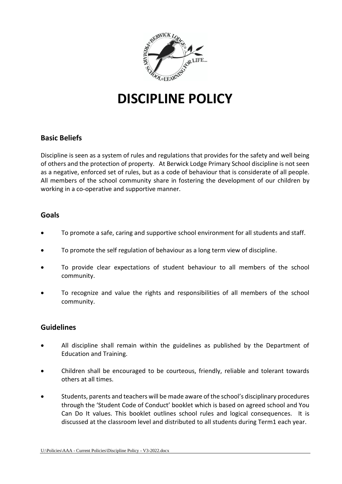

# **DISCIPLINE POLICY**

## **Basic Beliefs**

Discipline is seen as a system of rules and regulations that provides for the safety and well being of others and the protection of property. At Berwick Lodge Primary School discipline is not seen as a negative, enforced set of rules, but as a code of behaviour that is considerate of all people. All members of the school community share in fostering the development of our children by working in a co-operative and supportive manner.

#### **Goals**

- To promote a safe, caring and supportive school environment for all students and staff.
- To promote the self regulation of behaviour as a long term view of discipline.
- To provide clear expectations of student behaviour to all members of the school community.
- To recognize and value the rights and responsibilities of all members of the school community.

### **Guidelines**

- All discipline shall remain within the guidelines as published by the Department of Education and Training.
- Children shall be encouraged to be courteous, friendly, reliable and tolerant towards others at all times.
- Students, parents and teachers will be made aware of the school's disciplinary procedures through the 'Student Code of Conduct' booklet which is based on agreed school and You Can Do It values. This booklet outlines school rules and logical consequences. It is discussed at the classroom level and distributed to all students during Term1 each year.